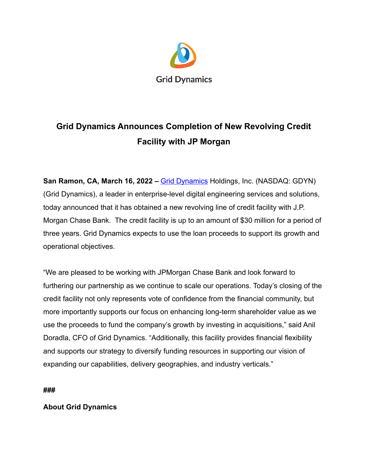

## **Grid Dynamics Announces Completion of New Revolving Credit Facility with JP Morgan**

**San Ramon, CA, March 16, 2022 –** *[Grid Dynamics](https://www.griddynamics.com/)* **Holdings, Inc. (NASDAQ: GDYN)** (Grid Dynamics), a leader in enterprise-level digital engineering services and solutions, today announced that it has obtained a new revolving line of credit facility with J.P. Morgan Chase Bank. The credit facility is up to an amount of \$30 million for a period of three years. Grid Dynamics expects to use the loan proceeds to support its growth and operational objectives.

"We are pleased to be working with JPMorgan Chase Bank and look forward to furthering our partnership as we continue to scale our operations. Today's closing of the credit facility not only represents vote of confidence from the financial community, but more importantly supports our focus on enhancing long-term shareholder value as we use the proceeds to fund the company's growth by investing in acquisitions," said Anil Doradla, CFO of Grid Dynamics. "Additionally, this facility provides financial flexibility and supports our strategy to diversify funding resources in supporting our vision of expanding our capabilities, delivery geographies, and industry verticals."

**###**

## **About Grid Dynamics**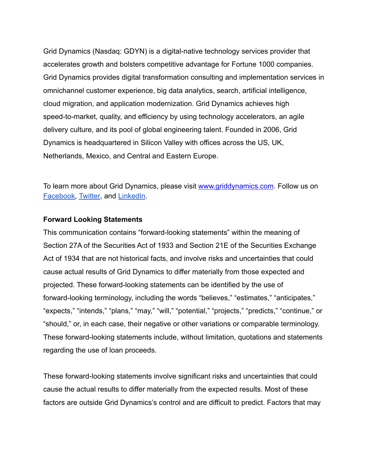Grid Dynamics (Nasdaq: GDYN) is a digital-native technology services provider that accelerates growth and bolsters competitive advantage for Fortune 1000 companies. Grid Dynamics provides digital transformation consulting and implementation services in omnichannel customer experience, big data analytics, search, artificial intelligence, cloud migration, and application modernization. Grid Dynamics achieves high speed-to-market, quality, and efficiency by using technology accelerators, an agile delivery culture, and its pool of global engineering talent. Founded in 2006, Grid Dynamics is headquartered in Silicon Valley with offices across the US, UK, Netherlands, Mexico, and Central and Eastern Europe.

To learn more about Grid Dynamics, please visit [www.griddynamics.com](http://www.griddynamics.com). Follow us on [Facebook,](https://www.facebook.com/griddynamics) [Twitter,](https://twitter.com/griddynamics) and [LinkedIn](https://www.linkedin.com/company/grid-dynamics/).

## **Forward Looking Statements**

This communication contains "forward-looking statements" within the meaning of Section 27A of the Securities Act of 1933 and Section 21E of the Securities Exchange Act of 1934 that are not historical facts, and involve risks and uncertainties that could cause actual results of Grid Dynamics to differ materially from those expected and projected. These forward-looking statements can be identified by the use of forward-looking terminology, including the words "believes," "estimates," "anticipates," "expects," "intends," "plans," "may," "will," "potential," "projects," "predicts," "continue," or "should," or, in each case, their negative or other variations or comparable terminology. These forward-looking statements include, without limitation, quotations and statements regarding the use of loan proceeds.

These forward-looking statements involve significant risks and uncertainties that could cause the actual results to differ materially from the expected results. Most of these factors are outside Grid Dynamics's control and are difficult to predict. Factors that may